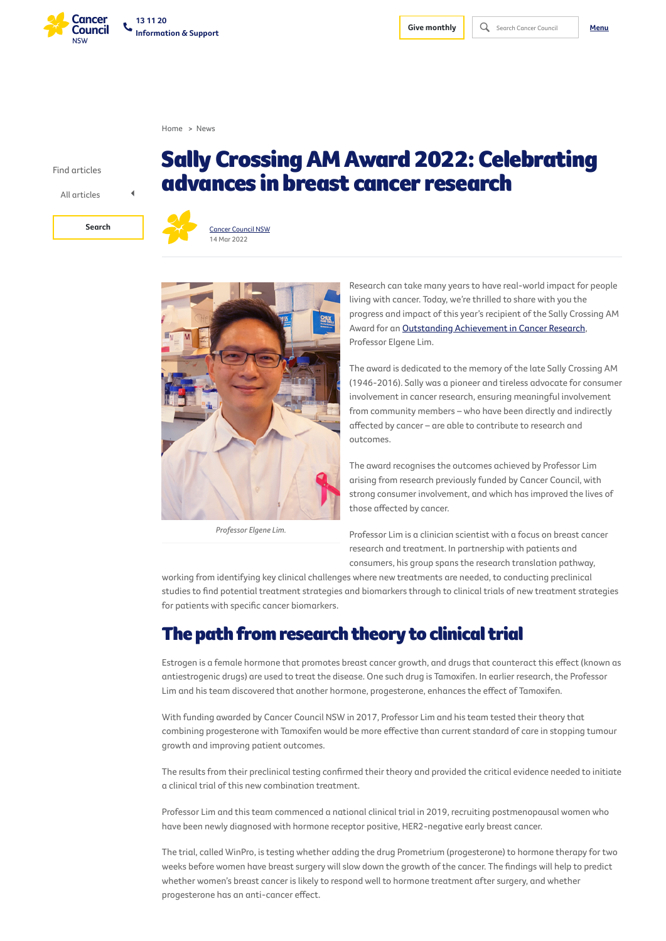Find articles



*Professor Elgene Lim.*

Sally CrossingAM Award 2022: Celebrating

advances in breast cancer research





Research can take many years to have real-world impact for people living with cancer. Today, we're thrilled to share with you the progress and impact of this year's recipient of the Sally Crossing AM Award for an Outstanding [Achievement](https://www.cancercouncil.com.au/research/for-researchers/sally-crossing-award/) in Cancer Research, Professor Elgene Lim.

The award is dedicated to the memory of the late Sally Crossing AM (1946-2016). Sally was a pioneer and tireless advocate for consumer involvement in cancer research, ensuring meaningful involvement from community members – who have been directly and indirectly affected by cancer – are able to contribute to research and outcomes.

The award recognises the outcomes achieved by Professor Lim arising from research previously funded by Cancer Council, with strong consumer involvement, and which has improved the lives of those affected by cancer.

Professor Lim is a clinician scientist with a focus on breast cancer research and treatment. In partnership with patients and consumers, his group spans the research translation pathway,

working from identifying key clinical challenges where new treatments are needed, to conducting preclinical studies to find potential treatment strategies and biomarkers through to clinical trials of new treatment strategies for patients with specific cancer biomarkers.

# The path from research theory to clinical trial

Estrogen is a female hormone that promotes breast cancer growth, and drugs that counteract this effect (known as antiestrogenic drugs) are used to treat the disease. One such drug is Tamoxifen. In earlier research, the Professor Lim and his team discovered that another hormone, progesterone, enhances the effect of Tamoxifen.

With funding awarded by Cancer Council NSW in 2017, Professor Lim and his team tested their theory that combining progesterone with Tamoxifen would be more effective than current standard of care in stopping tumour growth and improving patient outcomes.

The results from their preclinical testing confirmed their theory and provided the critical evidence needed to initiate a clinical trial of this new combination treatment.

Professor Lim and this team commenced a national clinical trial in 2019, recruiting postmenopausal women who have been newly diagnosed with hormone receptor positive, HER2-negative early breast cancer.

The trial, called WinPro, is testing whether adding the drug Prometrium (progesterone) to hormone therapy for two weeks before women have breast surgery will slow down the growth of the cancer. The findings will help to predict whether women's breast cancer is likely to respond well to hormone treatment after surgery, and whether progesterone has an anti-cancer effect.

[Home](https://www.cancercouncil.com.au/) > [News](https://www.cancercouncil.com.au/news/)

All articles